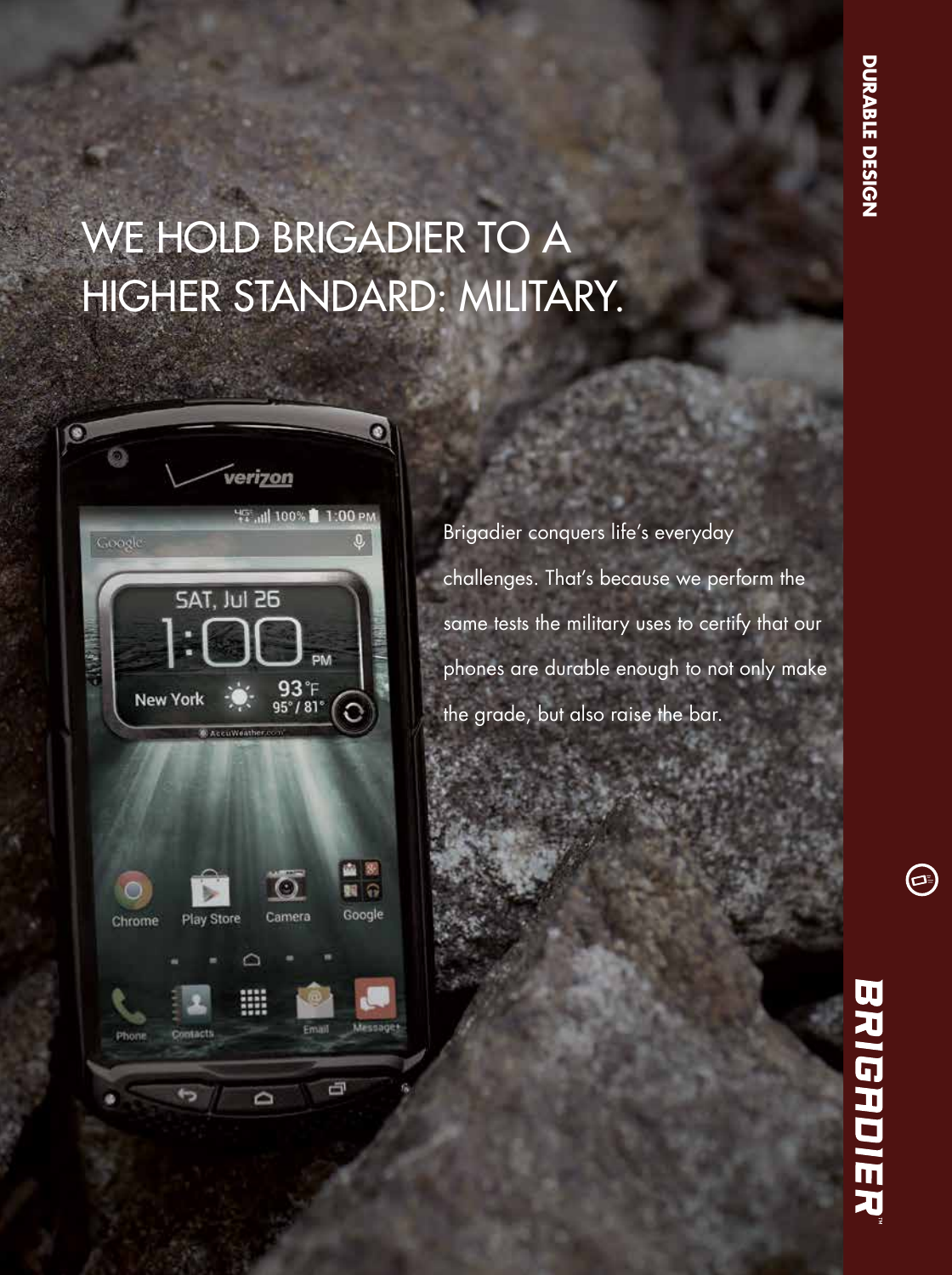## WE HOLD BRIGADIER TO A HIGHER STANDARD: MILITARY.



Brigadier conquers life's everyday challenges. That's because we perform the same tests the military uses to certify that our phones are durable enough to not only make the grade, but also raise the bar.

 $\bm{\Theta}$